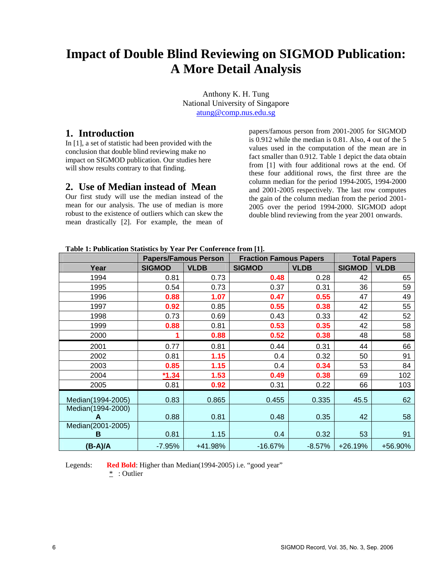# **Impact of Double Blind Reviewing on SIGMOD Publication: A More Detail Analysis**

Anthony K. H. Tung National University of Singapore [atung@comp.nus.edu.sg](mailto:atung@comp.nus.edu.sg)

### **1. Introduction**

In [1], a set of statistic had been provided with the conclusion that double blind reviewing make no impact on SIGMOD publication. Our studies here will show results contrary to that finding.

# **2. Use of Median instead of Mean**

Our first study will use the median instead of the mean for our analysis. The use of median is more robust to the existence of outliers which can skew the mean drastically [2]. For example, the mean of

papers/famous person from 2001-2005 for SIGMOD is 0.912 while the median is 0.81. Also, 4 out of the 5 values used in the computation of the mean are in fact smaller than 0.912. Table 1 depict the data obtain from [1] with four additional rows at the end. Of these four additional rows, the first three are the column median for the period 1994-2005, 1994-2000 and 2001-2005 respectively. The last row computes the gain of the column median from the period 2001- 2005 over the period 1994-2000. SIGMOD adopt double blind reviewing from the year 2001 onwards.

| Table 1: Publication Statistics by Year Per Conference from [1]. |  |  |  |
|------------------------------------------------------------------|--|--|--|
|                                                                  |  |  |  |

|                   | <b>Papers/Famous Person</b> |             | <b>Fraction Famous Papers</b> |             | <b>Total Papers</b> |             |  |
|-------------------|-----------------------------|-------------|-------------------------------|-------------|---------------------|-------------|--|
| Year              | <b>SIGMOD</b>               | <b>VLDB</b> | <b>SIGMOD</b>                 | <b>VLDB</b> | <b>SIGMOD</b>       | <b>VLDB</b> |  |
| 1994              | 0.81                        | 0.73        | 0.48                          | 0.28        | 42                  | 65          |  |
| 1995              | 0.54                        | 0.73        | 0.37                          | 0.31        | 36                  | 59          |  |
| 1996              | 0.88                        | 1.07        | 0.47                          | 0.55        | 47                  | 49          |  |
| 1997              | 0.92                        | 0.85        | 0.55                          | 0.38        | 42                  | 55          |  |
| 1998              | 0.73                        | 0.69        | 0.43                          | 0.33        | 42                  | 52          |  |
| 1999              | 0.88                        | 0.81        | 0.53                          | 0.35        | 42                  | 58          |  |
| 2000              |                             | 0.88        | 0.52                          | 0.38        | 48                  | 58          |  |
| 2001              | 0.77                        | 0.81        | 0.44                          | 0.31        | 44                  | 66          |  |
| 2002              | 0.81                        | 1.15        | 0.4                           | 0.32        | 50                  | 91          |  |
| 2003              | 0.85                        | 1.15        | 0.4                           | 0.34        | 53                  | 84          |  |
| 2004              | $*1.34$                     | 1.53        | 0.49                          | 0.38        | 69                  | 102         |  |
| 2005              | 0.81                        | 0.92        | 0.31                          | 0.22        | 66                  | 103         |  |
| Median(1994-2005) | 0.83                        | 0.865       | 0.455                         | 0.335       | 45.5                | 62          |  |
| Median(1994-2000) |                             |             |                               |             |                     |             |  |
|                   | 0.88                        | 0.81        | 0.48                          | 0.35        | 42                  | 58          |  |
| Median(2001-2005) |                             |             |                               |             |                     |             |  |
| В                 | 0.81                        | 1.15        | 0.4                           | 0.32        | 53                  | 91          |  |
| (B-A)/A           | $-7.95%$                    | +41.98%     | $-16.67%$                     | $-8.57%$    | $+26.19%$           | +56.90%     |  |

Legends: **Red Bold**: Higher than Median(1994-2005) i.e. "good year"

\* : Outlier